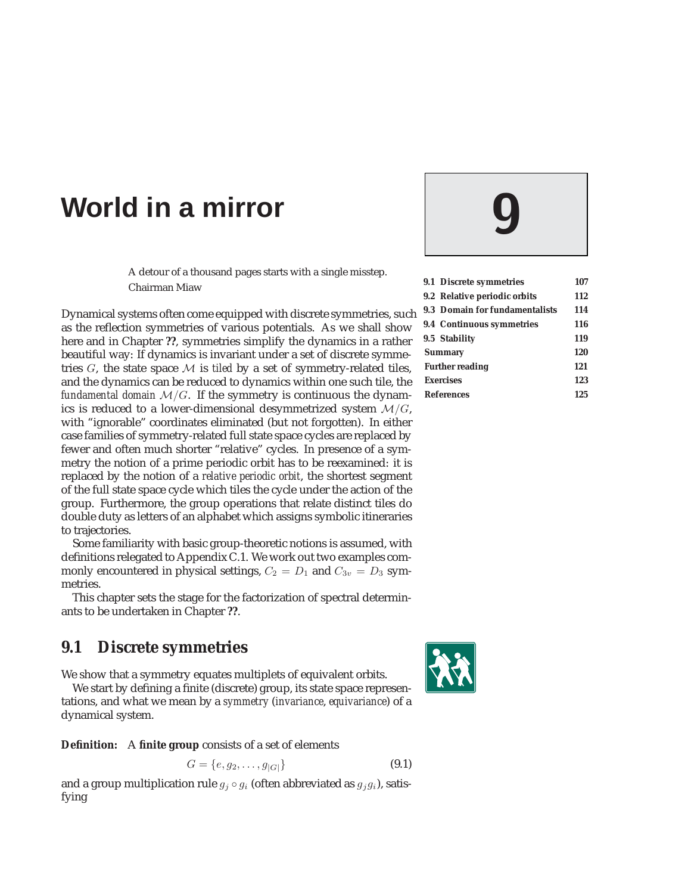# **World in a mirror 9**

A detour of a thousand pages starts with a single misstep. Chairman Miaw

Dynamical systems often come equipped with discrete symmetries, such as the reflection symmetries of various potentials. As we shall show here and in Chapter **??**, symmetries simplify the dynamics in a rather beautiful way: If dynamics is invariant under a set of discrete symmetries  $G$ , the state space  $M$  is *tiled* by a set of symmetry-related tiles, and the dynamics can be reduced to dynamics within one such tile, the *fundamental domain*  $M/G$ . If the symmetry is continuous the dynamics is reduced to a lower-dimensional desymmetrized system  $M/G$ , with "ignorable" coordinates eliminated (but not forgotten). In either case families of symmetry-related full state space cycles are replaced by fewer and often much shorter "relative" cycles. In presence of a symmetry the notion of a prime periodic orbit has to be reexamined: it is replaced by the notion of a *relative periodic orbit*, the shortest segment of the full state space cycle which tiles the cycle under the action of the group. Furthermore, the group operations that relate distinct tiles do double duty as letters of an alphabet which assigns symbolic itineraries to trajectories.

Some familiarity with basic group-theoretic notions is assumed, with definitions relegated to Appendix C.1. We work out two examples commonly encountered in physical settings,  $C_2 = D_1$  and  $C_{3v} = D_3$  symmetries.

This chapter sets the stage for the factorization of spectral determinants to be undertaken in Chapter **??**.

# **9.1 Discrete symmetries**

We show that a symmetry equates multiplets of equivalent orbits.

We start by defining a finite (discrete) group, its state space representations, and what we mean by a *symmetry* (*invariance*, *equivariance*) of a dynamical system.

**Definition:** A **finite group** consists of a set of elements

$$
G = \{e, g_2, \dots, g_{|G|}\}\tag{9.1}
$$

and a group multiplication rule  $g_i \circ g_i$  (often abbreviated as  $g_i g_i$ ), satisfying



| 9.1 Discrete symmetries               | 107 |
|---------------------------------------|-----|
| 9.2 Relative periodic orbits          | 112 |
| <b>9.3 Domain for fundamentalists</b> | 114 |
| 9.4 Continuous symmetries             | 116 |
| 9.5 Stability                         | 119 |
| <b>Summary</b>                        | 120 |
| <b>Further reading</b>                | 121 |
| <b>Exercises</b>                      | 123 |
| <b>References</b>                     | 125 |

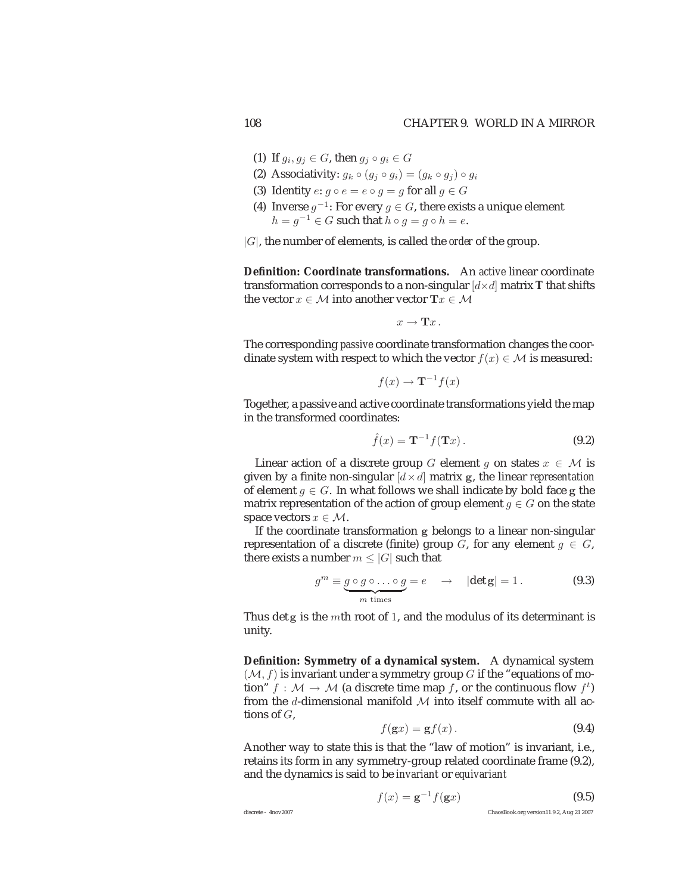- (1) If  $g_i, g_j \in G$ , then  $g_j \circ g_i \in G$
- (2) Associativity:  $q_k \circ (q_i \circ q_i) = (q_k \circ q_i) \circ q_i$
- (3) Identity  $e: g \circ e = e \circ g = g$  for all  $g \in G$
- (4) Inverse  $g^{-1}$ : For every  $g \in G$ , there exists a unique element  $h = q^{-1} \in G$  such that  $h \circ q = q \circ h = e$ .

|G|, the number of elements, is called the *order* of the group.

**Definition: Coordinate transformations.** An *active* linear coordinate transformation corresponds to a non-singular  $\left[ d \times d \right]$  matrix **T** that shifts the vector  $x \in M$  into another vector  $\mathbf{T}x \in M$ 

$$
x\to \mathbf{T}x\,.
$$

The corresponding *passive* coordinate transformation changes the coordinate system with respect to which the vector  $f(x) \in M$  is measured:

$$
f(x) \to \mathbf{T}^{-1} f(x)
$$

Together, a passive and active coordinate transformations yield the map in the transformed coordinates:

$$
\hat{f}(x) = \mathbf{T}^{-1} f(\mathbf{T}x).
$$
\n(9.2)

Linear action of a discrete group G element g on states  $x \in \mathcal{M}$  is given by a finite non-singular  $[d \times d]$  matrix g, the linear *representation* of element  $g \in G$ . In what follows we shall indicate by bold face g the matrix representation of the action of group element  $q \in G$  on the state space vectors  $x \in \mathcal{M}$ .

If the coordinate transformation **g** belongs to a linear non-singular representation of a discrete (finite) group G, for any element  $g \in G$ , there exists a number  $m \leq |G|$  such that

$$
g^{m} \equiv \underbrace{g \circ g \circ \dots \circ g}_{m \text{ times}} = e \quad \rightarrow \quad |\det g| = 1. \tag{9.3}
$$

Thus det **g** is the <sup>m</sup>th root of <sup>1</sup>, and the modulus of its determinant is unity.

**Definition: Symmetry of a dynamical system.** A dynamical system  $(M, f)$  is invariant under a symmetry group G if the "equations of motion"  $f : \mathcal{M} \to \mathcal{M}$  (a discrete time map f, or the continuous flow  $f^t$ ) from the d-dimensional manifold  $M$  into itself commute with all actions of  $G$ ,

$$
f(gx) = gf(x).
$$
 (9.4)

Another way to state this is that the "law of motion" is invariant, i.e., retains its form in any symmetry-group related coordinate frame (9.2), and the dynamics is said to be *invariant* or *equivariant*

$$
f(x) = \mathbf{g}^{-1} f(\mathbf{g}x)
$$
\n
$$
\text{hiasrete - 4nov2007} \tag{9.5}
$$
\nChaosBook.org version11.9.2, Aug 21 2007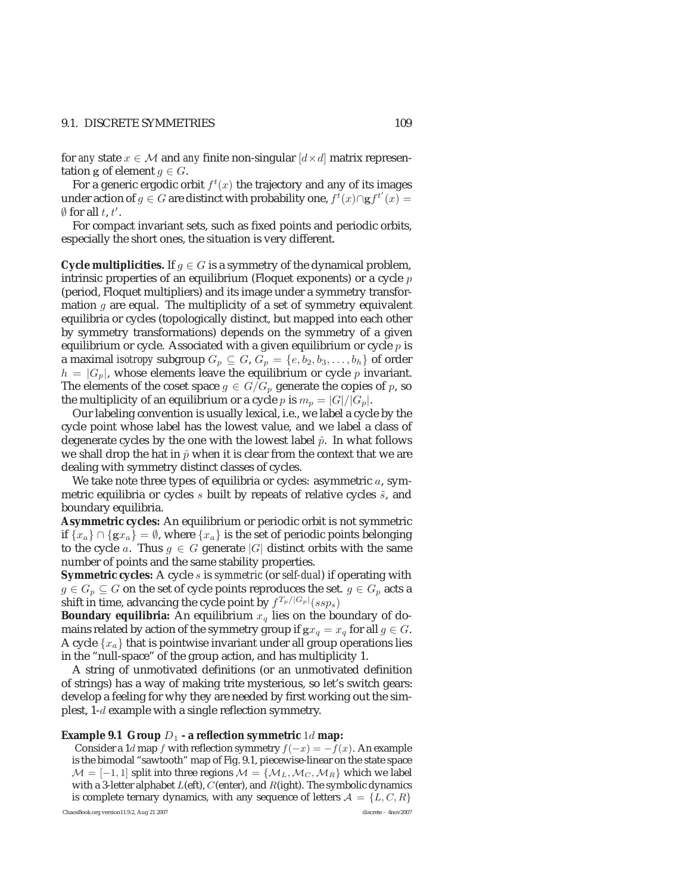#### 9.1. DISCRETE SYMMETRIES 109

for *any* state  $x \in M$  and *any* finite non-singular  $\left[ d \times d \right]$  matrix representation **g** of element  $g \in G$ .

For a generic ergodic orbit  $f^t(x)$  the trajectory and any of its images under action of  $g \in G$  are distinct with probability one,  $f^t(x) \cap \mathbf{g} f^{t'}(x) =$  *(*) for all  $t \neq t'$  $\emptyset$  for all t, t'.

For compact invariant sets, such as fixed points and periodic orbits, especially the short ones, the situation is very different.

**Cycle multiplicities.** If  $g \in G$  is a symmetry of the dynamical problem, intrinsic properties of an equilibrium (Floquet exponents) or a cycle  $p$ (period, Floquet multipliers) and its image under a symmetry transformation  $q$  are equal. The multiplicity of a set of symmetry equivalent equilibria or cycles (topologically distinct, but mapped into each other by symmetry transformations) depends on the symmetry of a given equilibrium or cycle. Associated with a given equilibrium or cycle  $p$  is a maximal *isotropy* subgroup  $G_p \subseteq G$ ,  $G_p = \{e, b_2, b_3, \ldots, b_h\}$  of order  $h = |G_p|$ , whose elements leave the equilibrium or cycle p invariant. The elements of the coset space  $g \in G/G_p$  generate the copies of p, so the multiplicity of an equilibrium or a cycle p is  $m_p = |G|/|G_p|$ .

Our labeling convention is usually lexical, i.e., we label a cycle by the cycle point whose label has the lowest value, and we label a class of degenerate cycles by the one with the lowest label  $\hat{p}$ . In what follows we shall drop the hat in  $\hat{p}$  when it is clear from the context that we are dealing with symmetry distinct classes of cycles.

We take note three types of equilibria or cycles: asymmetric  $a$ , symmetric equilibria or cycles  $s$  built by repeats of relative cycles  $\tilde{s}$ , and boundary equilibria.

**Asymmetric cycles:** An equilibrium or periodic orbit is not symmetric if  ${x_a}$  ∩  ${gx_a} = ∅$ , where  ${x_a}$  is the set of periodic points belonging to the cycle a. Thus  $g \in G$  generate |G| distinct orbits with the same number of points and the same stability properties.

**Symmetric cycles:** A cycle s is *symmetric* (or *self-dual*) if operating with  $g \in G_p \subseteq G$  on the set of cycle points reproduces the set.  $g \in G_p$  acts a shift in time, advancing the cycle point by  $f^{T_{p}/|G_{p}|}(ssp_{s})$ 

**Boundary equilibria:** An equilibrium  $x<sub>q</sub>$  lies on the boundary of domains related by action of the symmetry group if  $gx_q = x_q$  for all  $g \in G$ . A cycle  $\{x_a\}$  that is pointwise invariant under all group operations lies in the "null-space" of the group action, and has multiplicity 1.

A string of unmotivated definitions (or an unmotivated definition of strings) has a way of making trite mysterious, so let's switch gears: develop a feeling for why they are needed by first working out the simplest, 1-d example with a single reflection symmetry.

#### **Example 9.1 Group**  $D_1$  **- a reflection symmetric** 1d **map:**

Consider a 1d map f with reflection symmetry  $f(-x) = -f(x)$ . An example is the bimodal "sawtooth" map of Fig. 9.1, piecewise-linear on the state space  $\mathcal{M} = [-1, 1]$  split into three regions  $\mathcal{M} = \{M_L, M_C, M_R\}$  which we label with a 3-letter alphabet  $L$ (eft),  $C$ (enter), and  $R$ (ight). The symbolic dynamics is complete ternary dynamics, with any sequence of letters  $\mathcal{A} = \{L, C, R\}$ <br>sosBook org version11.9.2 Aug 21.2007

ChaosBook.org version11.9.2, Aug 21 2007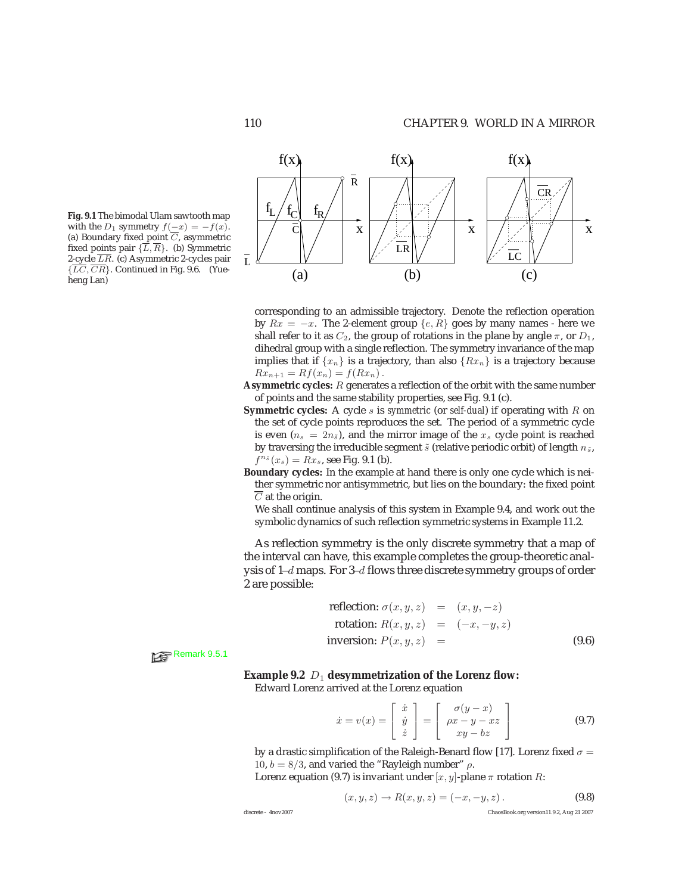**Fig. 9.1** The bimodal Ulam sawtooth map with the  $D_1$  symmetry  $f(-x) = -f(x)$ . (a) Boundary fixed point  $\overline{C}$ , asymmetric fixed points pair  $\{\overline{L}, \overline{R}\}$ . (b) Symmetric 2-cycle  $\overline{LR}$ . (c) Asymmetric 2-cycles pair  $\{\overline{LC}, \overline{CR}\}$ . Continued in Fig. 9.6. (Yueheng Lan)



corresponding to an admissible trajectory. Denote the reflection operation by  $Rx = -x$ . The 2-element group  $\{e, R\}$  goes by many names - here we shall refer to it as  $C_2$ , the group of rotations in the plane by angle  $\pi$ , or  $D_1$ , dihedral group with a single reflection. The symmetry invariance of the map implies that if  $\{x_n\}$  is a trajectory, than also  $\{Rx_n\}$  is a trajectory because  $Rx_{n+1} = Rf(x_n) = f(Rx_n)$ .

- **Asymmetric cycles:** R generates a reflection of the orbit with the same number of points and the same stability properties, see Fig. 9.1 (c).
- **Symmetric cycles:** A cycle s is *symmetric* (or *self-dual*) if operating with R on the set of cycle points reproduces the set. The period of a symmetric cycle is even  $(n_s = 2n_{\tilde{s}})$ , and the mirror image of the  $x_s$  cycle point is reached by traversing the irreducible segment  $\tilde{s}$  (relative periodic orbit) of length  $n_{\tilde{s}}$ ,  $f^{n_{\tilde{s}}}(x_s) = Rx_s$ , see Fig. 9.1 (b).
- **Boundary cycles:** In the example at hand there is only one cycle which is neither symmetric nor antisymmetric, but lies on the boundary: the fixed point  $\overline{C}$  at the origin.

We shall continue analysis of this system in Example 9.4, and work out the symbolic dynamics of such reflection symmetric systems in Example 11.2.

As reflection symmetry is the only discrete symmetry that a map of the interval can have, this example completes the group-theoretic analysis of 1−d maps. For 3−d flows three discrete symmetry groups of order 2 are possible:

reflection: 
$$
\sigma(x, y, z) = (x, y, -z)
$$
  
\nrotation:  $R(x, y, z) = (-x, -y, z)$   
\ninversion:  $P(x, y, z) = (9.6)$ 

Remark 9.5.1

**Example 9.2**  $D_1$  desymmetrization of the Lorenz flow:

Edward Lorenz arrived at the Lorenz equation

$$
\dot{x} = v(x) = \begin{bmatrix} \dot{x} \\ \dot{y} \\ \dot{z} \end{bmatrix} = \begin{bmatrix} \sigma(y-x) \\ \rho x - y - xz \\ xy - bz \end{bmatrix}
$$
 (9.7)

by a drastic simplification of the Raleigh-Benard flow [17]. Lorenz fixed  $\sigma =$ 10,  $b = 8/3$ , and varied the "Rayleigh number"  $\rho$ .

Lorenz equation (9.7) is invariant under  $[x, y]$ -plane  $\pi$  rotation R:

$$
(x, y, z) \to R(x, y, z) = (-x, -y, z).
$$
 (9.8)

discrete - 4nov2007 ChaosBook.org version11.9.2, Aug 21 2007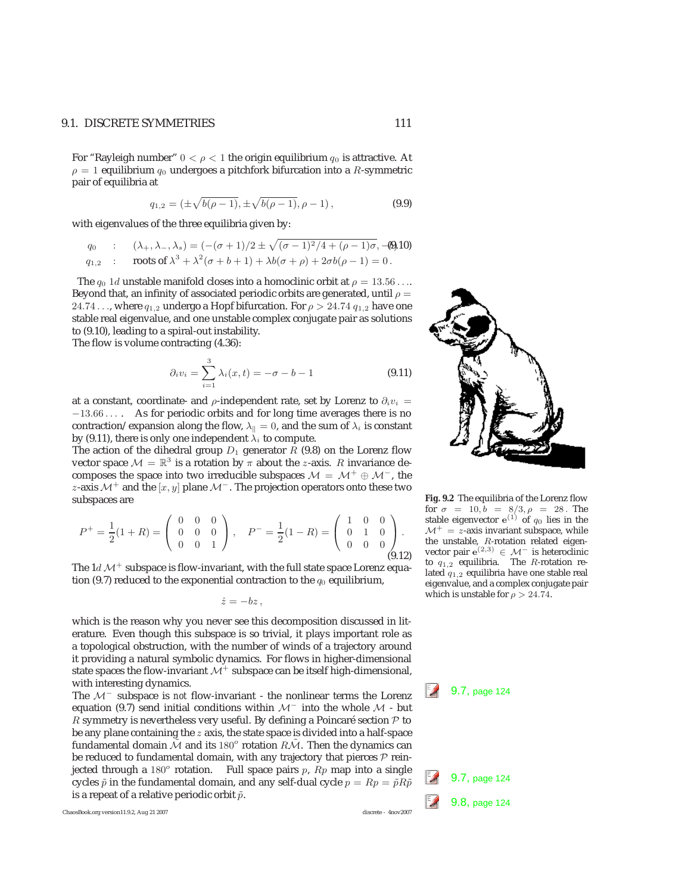#### 9.1. DISCRETE SYMMETRIES 111

For "Rayleigh number"  $0 < \rho < 1$  the origin equilibrium  $q_0$  is attractive. At  $\rho = 1$  equilibrium  $q_0$  undergoes a pitchfork bifurcation into a R-symmetric pair of equilibria at

$$
q_{1,2} = (\pm \sqrt{b(\rho - 1)}, \pm \sqrt{b(\rho - 1)}, \rho - 1),
$$
\n(9.9)

with eigenvalues of the three equilibria given by:

$$
q_0 : (\lambda_+, \lambda_-, \lambda_s) = (-(\sigma + 1)/2 \pm \sqrt{(\sigma - 1)^2/4 + (\rho - 1)\sigma}, -\text{(0)}10)
$$
  

$$
q_{1,2} : \text{roots of } \lambda^3 + \lambda^2(\sigma + b + 1) + \lambda b(\sigma + \rho) + 2\sigma b(\rho - 1) = 0.
$$

The  $q_0$  1d unstable manifold closes into a homoclinic orbit at  $\rho = 13.56...$ Beyond that, an infinity of associated periodic orbits are generated, until  $\rho =$ 24.74 ..., where  $q_{1,2}$  undergo a Hopf bifurcation. For  $\rho > 24.74$   $q_{1,2}$  have one stable real eigenvalue, and one unstable complex conjugate pair as solutions to (9.10), leading to a spiral-out instability.

The flow is volume contracting (4.36):

$$
\partial_i v_i = \sum_{i=1}^3 \lambda_i(x, t) = -\sigma - b - 1 \tag{9.11}
$$

at a constant, coordinate- and  $\rho$ -independent rate, set by Lorenz to  $\partial_i v_i =$ <sup>−</sup>13.66 ... . As for periodic orbits and for long time averages there is no contraction/expansion along the flow,  $\lambda_{\parallel} = 0$ , and the sum of  $\lambda_i$  is constant by (9.11), there is only one independent  $\lambda_i$  to compute.

The action of the dihedral group  $D_1$  generator R (9.8) on the Lorenz flow vector space  $\mathcal{M} = \mathbb{R}^3$  is a rotation by  $\pi$  about the *z*-axis. R invariance decomposes the space into two irreducible subspaces  $\mathcal{M} = \mathcal{M}^+ \oplus \mathcal{M}^-$ , the z-axis  $\mathcal{M}^+$  and the  $[x, y]$  plane  $\mathcal{M}^-$ . The projection operators onto these two subspaces are

$$
P^{+} = \frac{1}{2}(1+R) = \begin{pmatrix} 0 & 0 & 0 \\ 0 & 0 & 0 \\ 0 & 0 & 1 \end{pmatrix}, \quad P^{-} = \frac{1}{2}(1-R) = \begin{pmatrix} 1 & 0 & 0 \\ 0 & 1 & 0 \\ 0 & 0 & 0 \end{pmatrix}.
$$
\n(9.12)

The  $1d \mathcal{M}^+$  subspace is flow-invariant, with the full state space Lorenz equation (9.7) reduced to the exponential contraction to the  $q_0$  equilibrium,

 $\dot{z} = -bz$ ,

which is the reason why you never see this decomposition discussed in literature. Even though this subspace is so trivial, it plays important role as a topological obstruction, with the number of winds of a trajectory around it providing a natural symbolic dynamics. For flows in higher-dimensional state spaces the flow-invariant  $\mathcal{M}^+$  subspace can be itself high-dimensional, with interesting dynamics.<br>The M<sup>−</sup> subspace is *not* flow-invariant - the nonlinear terms the Lorenz <sup>2</sup> 9.7, page 124

equation (9.7) send initial conditions within M<sup>−</sup> into the whole M - but R symmetry is nevertheless very useful. By defining a Poincaré section  $P$  to be any plane containing the z axis, the state space is divided into a half-space fundamental domain  $\tilde{\mathcal{M}}$  and its 180<sup>o</sup> rotation  $R\tilde{\mathcal{M}}$ . Then the dynamics can be reduced to fundamental domain, with any trajectory that pierces  $P$  reinjected through a 180<sup>o</sup> rotation. Full space pairs p,  $Rp$  map into a single cycles  $\tilde{p}$  in the fundamental domain, and any self-dual cycle  $p = Rp = \tilde{p}R\tilde{p}$  9.7, page 124 is a repeat of a relative periodic orbit  $\til$ is a repeat of a relative periodic orbit  $\tilde{p}$ .<br>
9.8, page 12, page 12, 2007

ChaosBook.org version11.9.2, Aug 21 2007



**Fig. 9.2** The equilibria of the Lorenz flow for  $\sigma = 10, b = 8/3, \rho = 28$ . The stable eigenvector  $e^{(1)}$  of  $q_0$  lies in the  $\mathcal{M}^+$  = z-axis invariant subspace, while the unstable, R-rotation related eigenvector pair  $e^{(2,3)}$  ∈  $\mathcal{M}^-$  is heteroclinic to  $q_{1,2}$  equilibria. The R-rotation related  $q_{1,2}$  equilibria have one stable real eigenvalue, and a complex conjugate pair which is unstable for  $\rho > 24.74$ .

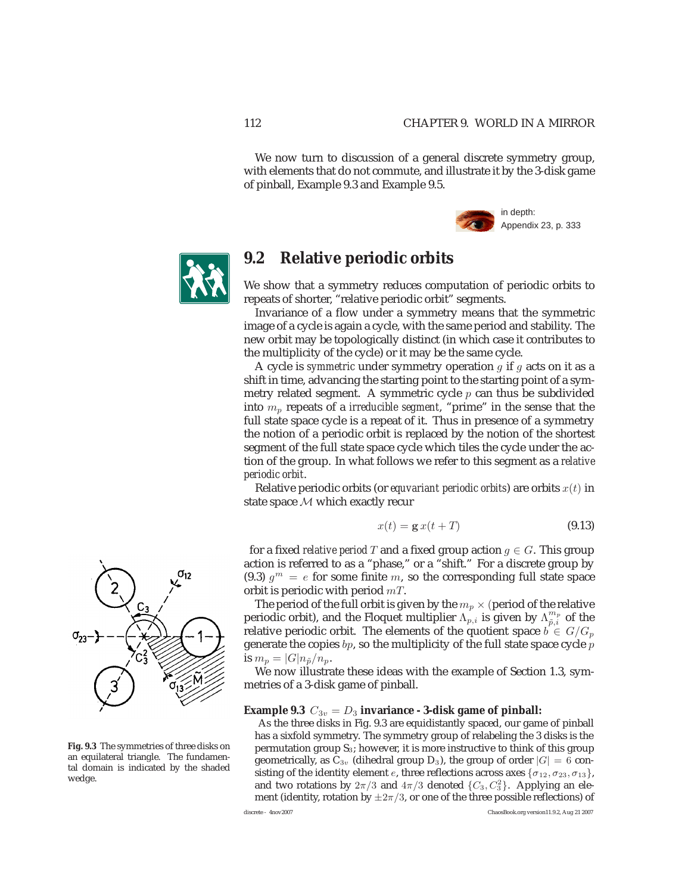We now turn to discussion of a general discrete symmetry group, with elements that do not commute, and illustrate it by the 3-disk game of pinball, Example 9.3 and Example 9.5.





# **9.2 Relative periodic orbits**

We show that a symmetry reduces computation of periodic orbits to repeats of shorter, "relative periodic orbit" segments.

Invariance of a flow under a symmetry means that the symmetric image of a cycle is again a cycle, with the same period and stability. The new orbit may be topologically distinct (in which case it contributes to the multiplicity of the cycle) or it may be the same cycle.

A cycle is *symmetric* under symmetry operation g if g acts on it as a shift in time, advancing the starting point to the starting point of a symmetry related segment. A symmetric cycle  $p$  can thus be subdivided into  $m_p$  repeats of a *irreducible segment*, "prime" in the sense that the full state space cycle is a repeat of it. Thus in presence of a symmetry the notion of a periodic orbit is replaced by the notion of the shortest segment of the full state space cycle which tiles the cycle under the action of the group. In what follows we refer to this segment as a *relative periodic orbit*.

Relative periodic orbits (or *equvariant periodic orbits*) are orbits  $x(t)$  in state space M which exactly recur

$$
x(t) = \mathbf{g} x(t+T) \tag{9.13}
$$

for a fixed *relative period* T and a fixed group action  $g \in G$ . This group action is referred to as a "phase," or a "shift." For a discrete group by (9.3)  $q^m = e$  for some finite m, so the corresponding full state space orbit is periodic with period  $mT$ .

The period of the full orbit is given by the  $m_p \times$  (period of the relative periodic orbit), and the Floquet multiplier  $\Lambda_{p,i}^{\{r\}}$  is given by  $\Lambda_{\tilde{p},i}^{m_p}$  of the relative periodic orbit. The elements of the quotient space  $\vec{b} \in G/G_p$ generate the copies  $bp$ , so the multiplicity of the full state space cycle  $p$ is  $m_p = |G| n_{\tilde{p}} / n_p$ .

We now illustrate these ideas with the example of Section 1.3, symmetries of a 3-disk game of pinball.

#### **Example 9.3**  $C_{3v} = D_3$  **invariance** - **3-disk game of pinball:**

As the three disks in Fig. 9.3 are equidistantly spaced, our game of pinball has a sixfold symmetry. The symmetry group of relabeling the 3 disks is the permutation group  $S_3$ ; however, it is more instructive to think of this group geometrically, as  $C_{3v}$  (dihedral group D<sub>3</sub>), the group of order  $|G| = 6$  consisting of the identity element e, three reflections across axes  $\{\sigma_{12}, \sigma_{23}, \sigma_{13}\}\,$ and two rotations by  $2\pi/3$  and  $4\pi/3$  denoted  $\{C_3, C_3^2\}$ . Applying an element (identity rotation by  $\pm 2\pi/3$  or one of the three possible reflections) of ment (identity, rotation by  $\pm 2\pi/3$ , or one of the three possible reflections) of<br>discrete - 400×2007



**Fig. 9.3** The symmetries of three disks on an equilateral triangle. The fundamental domain is indicated by the shaded wedge.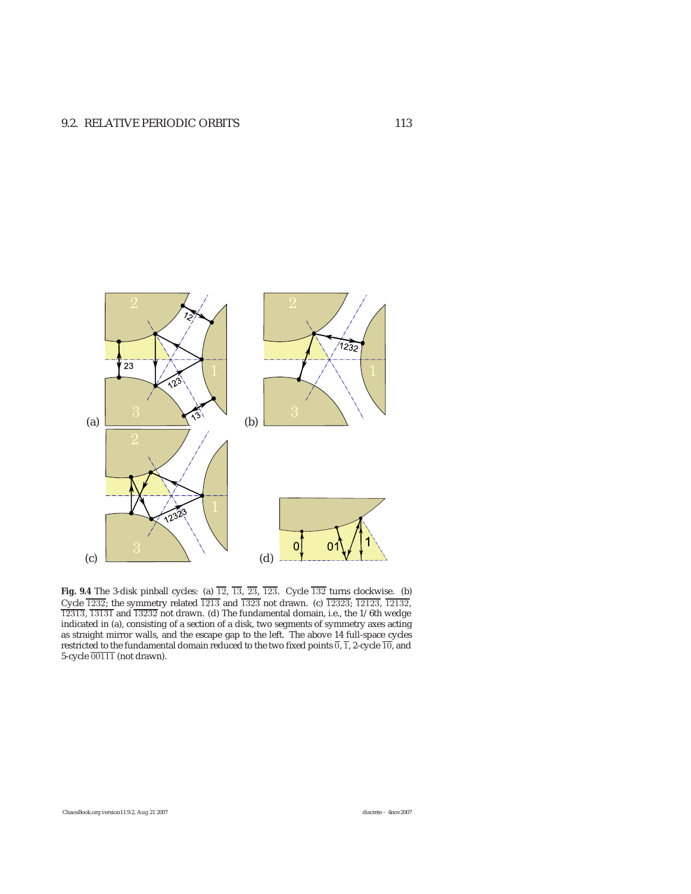

**Fig. 9.4** The 3-disk pinball cycles: (a)  $\overline{12}$ ,  $\overline{13}$ ,  $\overline{23}$ ,  $\overline{123}$ . Cycle  $\overline{132}$  turns clockwise. (b) Cycle 1232; the symmetry related 1213 and 1323 not drawn. (c) 12323; 12123, 12132,  $\frac{1}{123323}$ ; 12132,  $\frac{1}{123323}$  and  $\frac{1}{13232}$  not drawn. (d) The fundamental domain i.e., the 1/6th wedge 12313, 13131 and 13232 not drawn. (d) The fundamental domain, i.e., the 1/6th wedge indicated in (a), consisting of a section of a disk, two segments of symmetry axes acting as straight mirror walls, and the escape gap to the left. The above 14 full-space cycles restricted to the fundamental domain reduced to the two fixed points 0, 1, 2-cycle 10, and<br>5-cycle 00111\_(not drawn) 5-cycle 00111 (not drawn).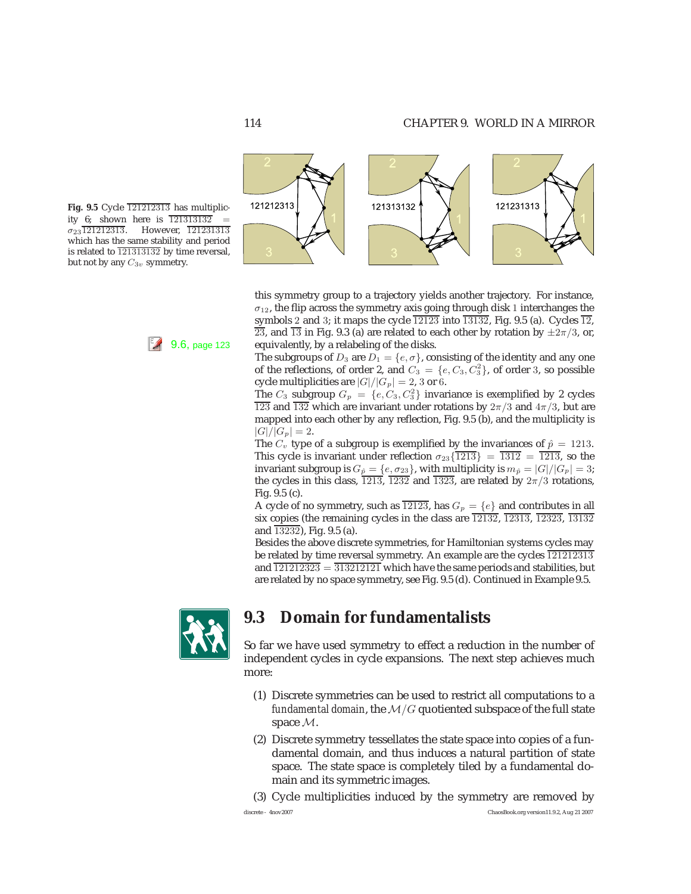121231313





this symmetry group to a trajectory yields another trajectory. For instance,  $\sigma_{12}$ , the flip across the symmetry axis going through disk 1 interchanges the symbols 2 and 3; it maps the cycle  $\overline{12123}$  into  $\overline{13132}$ , Fig. 9.5 (a). Cycles  $\overline{12}$ ,  $\overline{23}$ , and  $\overline{13}$  in Fig. 9.3 (a) are related to each other by rotation by  $\pm 2\pi/3$ , or, 9.6, page 123 equivalently, by a relabeling of the disks.

121313132

The subgroups of  $D_3$  are  $D_1 = \{e, \sigma\}$ , consisting of the identity and any one of the reflections, of order 2, and  $C_3 = \{e, C_3, C_3^2\}$ , of order 3, so possible evcloped multiplicities are  $|C|/|C| = 2$ , 3 or 6. cycle multiplicities are  $|G|/|G_p| = 2$ , 3 or 6.

The  $C_3$  subgroup  $G_p = \{e, C_3, C_3^2\}$  invariance is exemplified by 2 cycles  $\overline{123}$  and  $\overline{132}$  which are invariant under rotations by  $2\pi/3$  and  $4\pi/3$ , but are mapped into each other by any reflection, Fig. 9.5 (b), and the multiplicity is  $|G|/|G_p| = 2.$ 

The  $C_v$  type of a subgroup is exemplified by the invariances of  $\hat{p} = 1213$ . This cycle is invariant under reflection  $\sigma_{23}$ { $\overline{1213}$ } =  $\overline{1312}$  =  $\overline{1213}$ , so the invariant subgroup is  $G_{\hat{p}}=\{e,\sigma_{23}\},$  with multiplicity is  $m_{\hat{p}}=|G|/|G_{p}|=3;$ the cycles in this class,  $\overline{1213}$ ,  $\overline{1232}$  and  $\overline{1323}$ , are related by  $2\pi/3$  rotations, Fig. 9.5 (c).

A cycle of no symmetry, such as  $\overline{12123}$ , has  $G_p = \{e\}$  and contributes in all six copies (the remaining cycles in the class are  $\overline{12132}$ ,  $\overline{12313}$ ,  $\overline{12323}$ ,  $\overline{13132}$ and  $\overline{13232}$ , Fig. 9.5 (a).

Besides the above discrete symmetries, for Hamiltonian systems cycles may be related by time reversal symmetry. An example are the cycles  $\overline{121212313}$ and  $\frac{121212323}{2} = \frac{313212121}{3}$  which have the same periods and stabilities, but are related by no space symmetry, see Fig. 9.5 (d). Continued in Example 9.5.



# **9.3 Domain for fundamentalists**

So far we have used symmetry to effect a reduction in the number of independent cycles in cycle expansions. The next step achieves much more:

- (1) Discrete symmetries can be used to restrict all computations to a *fundamental domain*, the  $M/G$  quotiented subspace of the full state space M.
- (2) Discrete symmetry tessellates the state space into copies of a fundamental domain, and thus induces a natural partition of state space. The state space is completely tiled by a fundamental domain and its symmetric images.

(3) Cycle multiplicities induced by the symmetry are removed by

121212313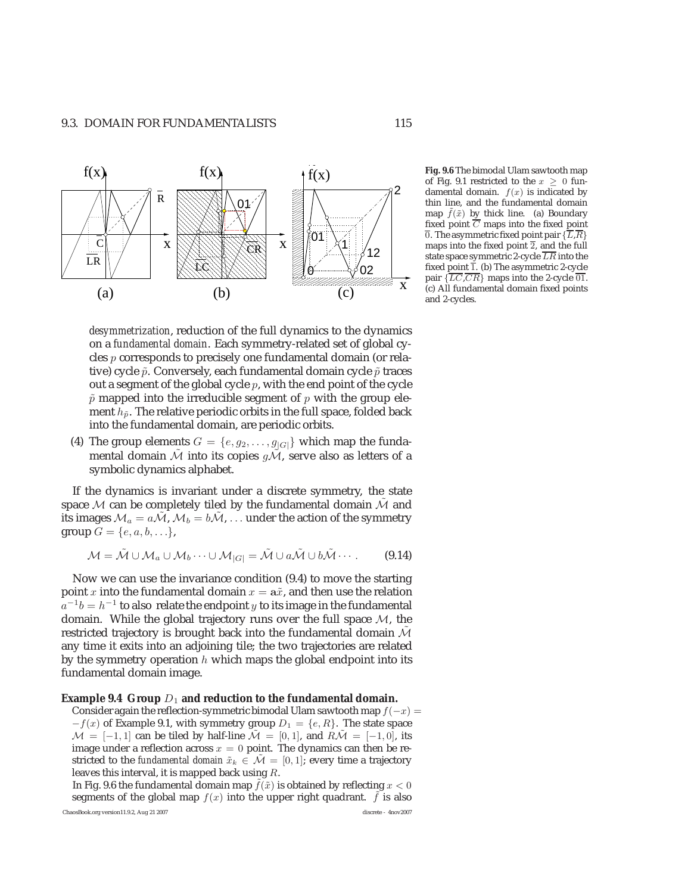

*desymmetrization*, reduction of the full dynamics to the dynamics on a *fundamental domain*. Each symmetry-related set of global cycles p corresponds to precisely one fundamental domain (or relative) cycle  $\tilde{p}$ . Conversely, each fundamental domain cycle  $\tilde{p}$  traces out a segment of the global cycle  $p$ , with the end point of the cycle  $\tilde{p}$  mapped into the irreducible segment of p with the group element  $h_{\tilde{p}}$ . The relative periodic orbits in the full space, folded back into the fundamental domain, are periodic orbits.

(4) The group elements  $G = \{e, g_2, \ldots, g_{|G|}\}\$  which map the fundamental domain  $\tilde{\mathcal{M}}$  into its copies  $q\tilde{\mathcal{M}}$ , serve also as letters of a symbolic dynamics alphabet.

If the dynamics is invariant under a discrete symmetry, the state space  $M$  can be completely tiled by the fundamental domain  $M$  and its images  $\mathcal{M}_a = a\mathcal{M}$ ,  $\mathcal{M}_b = b\mathcal{M}$ , ... under the action of the symmetry group  $G = \{e, a, b, \ldots\},\$ 

$$
\mathcal{M} = \tilde{\mathcal{M}} \cup \mathcal{M}_a \cup \mathcal{M}_b \cdots \cup \mathcal{M}_{|G|} = \tilde{\mathcal{M}} \cup a\tilde{\mathcal{M}} \cup b\tilde{\mathcal{M}} \cdots.
$$
 (9.14)

Now we can use the invariance condition (9.4) to move the starting point x into the fundamental domain  $x = a\tilde{x}$ , and then use the relation  $a^{-1}b = h^{-1}$  to also relate the endpoint y to its image in the fundamental domain. While the global trajectory runs over the full space  $M$ , the restricted trajectory is brought back into the fundamental domain  $\tilde{\mathcal{M}}$ any time it exits into an adjoining tile; the two trajectories are related by the symmetry operation  $h$  which maps the global endpoint into its fundamental domain image.

#### **Example 9.4 Group**  $D_1$  and reduction to the fundamental domain.

Consider again the reflection-symmetric bimodal Ulam sawtooth map  $f(-x) =$  $-f(x)$  of Example 9.1, with symmetry group  $D_1 = \{e, R\}$ . The state space  $\mathcal{M} = [-1, 1]$  can be tiled by half-line  $\mathcal{M} = [0, 1]$ , and  $R\mathcal{M} = [-1, 0]$ , its image under a reflection across  $x = 0$  point. The dynamics can then be restricted to the *fundamental domain*  $\tilde{x}_k \in \tilde{\mathcal{M}} = [0, 1]$ ; every time a trajectory leaves this interval, it is mapped back using R.

In Fig. 9.6 the fundamental domain map  $f(\tilde{x})$  is obtained by reflecting  $x < 0$ segments of the global map  $f(x)$  into the upper right quadrant.  $f$  is also ChaosBook.org version11.9.2, Aug 21 2007 discrete - 4nov2007

**Fig. 9.6** The bimodal Ulam sawtooth map of Fig. 9.1 restricted to the  $x \geq 0$  fundamental domain.  $f(x)$  is indicated by thin line, and the fundamental domain map  $f(\tilde{x})$  by thick line. (a) Boundary fixed point  $\overline{C}$  maps into the fixed point  $\overline{0}$ . The asymmetric fixed point pair  $\{\overline{L},\overline{R}\}$ maps into the fixed point  $\overline{2}$ , and the full state space symmetric 2-cycle  $\overline{LR}$  into the fixed point 1. (b) The asymmetric 2-cycle<br>pair  $\{LC,\overline{CR}\}$  maps into the 2-cycle  $\overline{01}$ .<br>(c) All fundamental domain fixed points (c) All fundamental domain fixed points and 2-cycles.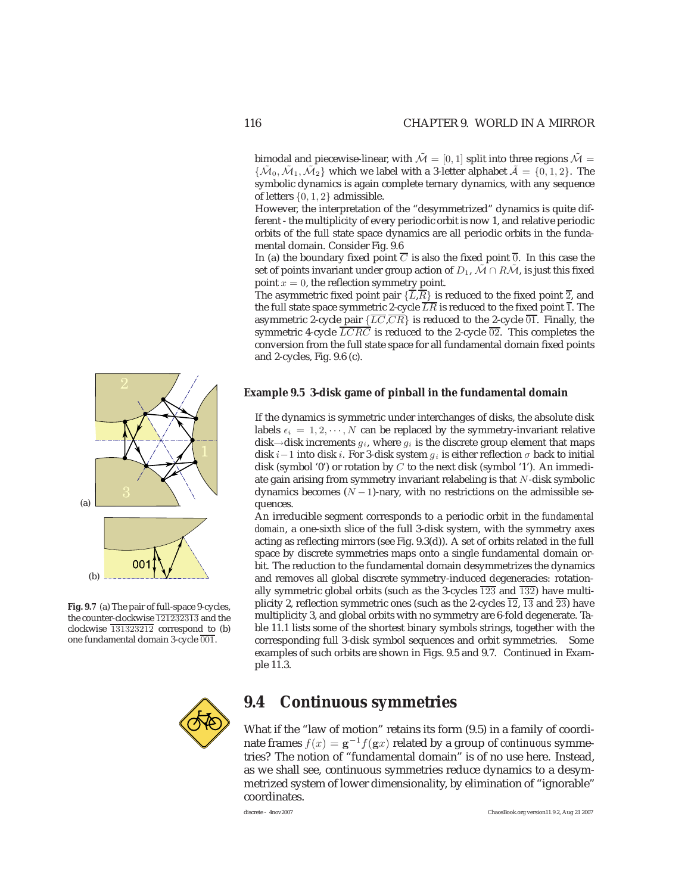bimodal and piecewise-linear, with  $\tilde{\mathcal{M}} = [0, 1]$  split into three regions  $\tilde{\mathcal{M}} =$  ${\tilde{\mathcal{M}}_0, \tilde{\mathcal{M}}_1, \tilde{\mathcal{M}}_2}$  which we label with a 3-letter alphabet  $\tilde{\mathcal{A}} = \{0, 1, 2\}$ . The symbolic dynamics is again complete ternary dynamics, with any sequence of letters {0, 1, 2} admissible.

However, the interpretation of the "desymmetrized" dynamics is quite different - the multiplicity of every periodic orbit is now 1, and relative periodic orbits of the full state space dynamics are all periodic orbits in the fundamental domain. Consider Fig. 9.6

In (a) the boundary fixed point  $\overline{C}$  is also the fixed point  $\overline{0}$ . In this case the set of points invariant under group action of  $D_1$ ,  $\mathcal{M} \cap R\mathcal{M}$ , is just this fixed point  $x = 0$ , the reflection symmetry point.

The asymmetric fixed point pair  $\{\overline{L},\overline{R}\}\$ is reduced to the fixed point  $\overline{2}$ , and the full state space symmetric 2-cycle  $\overline{LR}$  is reduced to the fixed point  $\overline{1}$ . The asymmetric 2-cycle pair  $\{\overline{LC},\overline{CR}\}$  is reduced to the 2-cycle  $\overline{01}$ . Finally, the symmetric 4-cycle  $\overline{LCRC}$  is reduced to the 2-cycle  $\overline{02}$ . This completes the conversion from the full state space for all fundamental domain fixed points and 2-cycles, Fig. 9.6 (c).

### **Example 9.5 3-disk game of pinball in the fundamental domain**

If the dynamics is symmetric under interchanges of disks, the absolute disk labels  $\epsilon_i = 1, 2, \cdots, N$  can be replaced by the symmetry-invariant relative disk $\rightarrow$ disk increments  $g_i$ , where  $g_i$  is the discrete group element that maps disk *i* −1 into disk *i*. For 3-disk system  $g_i$  is either reflection  $\sigma$  back to initial disk (symbol '0') or rotation by C to the next disk (symbol '1'). An immediate gain arising from symmetry invariant relabeling is that N-disk symbolic dynamics becomes  $(N - 1)$ -nary, with no restrictions on the admissible sequences.

An irreducible segment corresponds to a periodic orbit in the *fundamental domain*, a one-sixth slice of the full 3-disk system, with the symmetry axes acting as reflecting mirrors (see Fig. 9.3(d)). A set of orbits related in the full space by discrete symmetries maps onto a single fundamental domain orbit. The reduction to the fundamental domain desymmetrizes the dynamics and removes all global discrete symmetry-induced degeneracies: rotationally symmetric global orbits (such as the 3-cycles  $\overline{123}$  and  $\overline{132}$ ) have multiplicity 2, reflection symmetric ones (such as the 2-cycles  $\overline{12}$ ,  $\overline{13}$  and  $\overline{23}$ ) have multiplicity 3, and global orbits with no symmetry are 6-fold degenerate. Table 11.1 lists some of the shortest binary symbols strings, together with the corresponding full 3-disk symbol sequences and orbit symmetries. Some examples of such orbits are shown in Figs. 9.5 and 9.7. Continued in Example 11.3.



### **9.4 Continuous symmetries**

What if the "law of motion" retains its form (9.5) in a family of coordinate frames  $f(x) = g^{-1}f(gx)$  related by a group of *continuous* symmetries? The notion of "fundamental domain" is of no use here. Instead, as we shall see, continuous symmetries reduce dynamics to a desymmetrized system of lower dimensionality, by elimination of "ignorable" coordinates.



**Fig. 9.7** (a) The pair of full-space 9-cycles, the counter-clockwise <sup>121232313</sup> and the clockwise  $\overline{131323212}$  correspond to (b) one fundamental domain 3-cycle 001.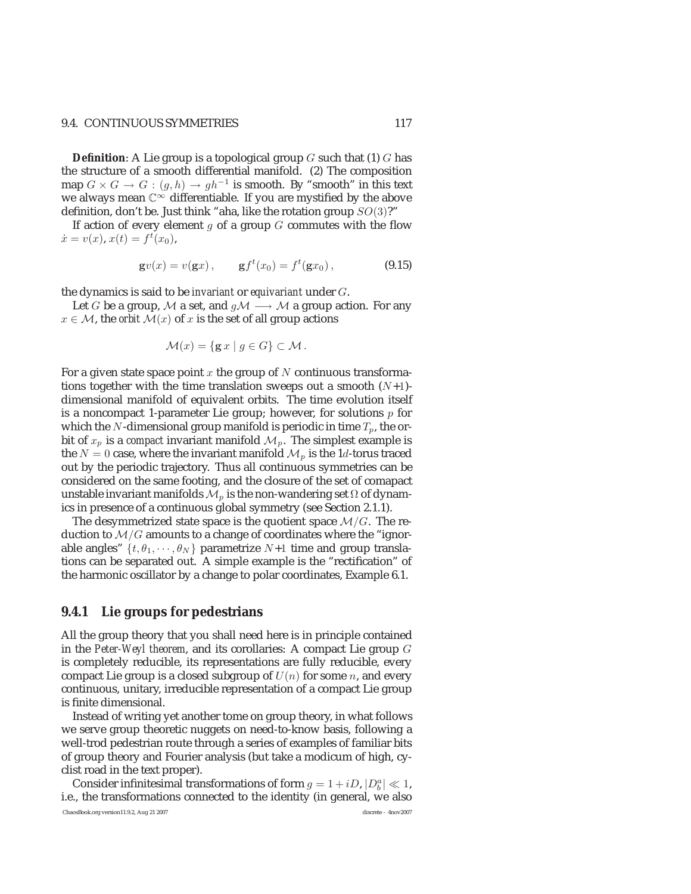#### 9.4. CONTINUOUS SYMMETRIES 117

**Definition**: A Lie group is a topological group G such that (1) G has the structure of a smooth differential manifold. (2) The composition map  $G \times G \to G : (g, h) \to gh^{-1}$  is smooth. By "smooth" in this text we always mean  $\mathbb{C}^{\infty}$  differentiable. If you are mystified by the above definition, don't be. Just think "aha, like the rotation group  $SO(3)$ ?"

If action of every element  $q$  of a group  $G$  commutes with the flow  $\dot{x} = v(x), x(t) = f^t(x_0),$ 

$$
g v(x) = v(gx), \t gf^t(x_0) = f^t(gx_0),
$$
 (9.15)

the dynamics is said to be *invariant* or *equivariant* under G.

Let G be a group, M a set, and  $g\mathcal{M} \longrightarrow \mathcal{M}$  a group action. For any  $x \in \mathcal{M}$ , the *orbit*  $\mathcal{M}(x)$  of x is the set of all group actions

$$
\mathcal{M}(x) = \{ \mathbf{g} \, x \mid g \in G \} \subset \mathcal{M} \, .
$$

For a given state space point  $x$  the group of  $N$  continuous transformations together with the time translation sweeps out a smooth  $(N+1)$ dimensional manifold of equivalent orbits. The time evolution itself is a noncompact 1-parameter Lie group; however, for solutions  $p$  for which the N-dimensional group manifold is periodic in time  $T_p$ , the orbit of  $x_p$  is a *compact* invariant manifold  $\mathcal{M}_p$ . The simplest example is the  $N=0$  case, where the invariant manifold  $\mathcal{M}_p$  is the 1d-torus traced out by the periodic trajectory. Thus all continuous symmetries can be considered on the same footing, and the closure of the set of comapact unstable invariant manifolds  $\mathcal{M}_p$  is the non-wandering set  $\Omega$  of dynamics in presence of a continuous global symmetry (see Section 2.1.1).

The desymmetrized state space is the quotient space  $\mathcal{M}/G$ . The reduction to  $\mathcal{M}/G$  amounts to a change of coordinates where the "ignorable angles"  $\{t, \theta_1, \dots, \theta_N\}$  parametrize  $N+1$  time and group translations can be separated out. A simple example is the "rectification" of the harmonic oscillator by a change to polar coordinates, Example 6.1.

### **9.4.1 Lie groups for pedestrians**

All the group theory that you shall need here is in principle contained in the *Peter-Weyl theorem*, and its corollaries: A compact Lie group G is completely reducible, its representations are fully reducible, every compact Lie group is a closed subgroup of  $U(n)$  for some n, and every continuous, unitary, irreducible representation of a compact Lie group is finite dimensional.

Instead of writing yet another tome on group theory, in what follows we serve group theoretic nuggets on need-to-know basis, following a well-trod pedestrian route through a series of examples of familiar bits of group theory and Fourier analysis (but take a modicum of high, cyclist road in the text proper).

Consider infinitesimal transformations of form  $g=1+iD,$   $\left|D_{b}^{a}\right|\ll1,$ i.e., the transformations connected to the identity (in general, we also ChaosBook.org version11.9.2, Aug 21 2007 discrete - 4nov2007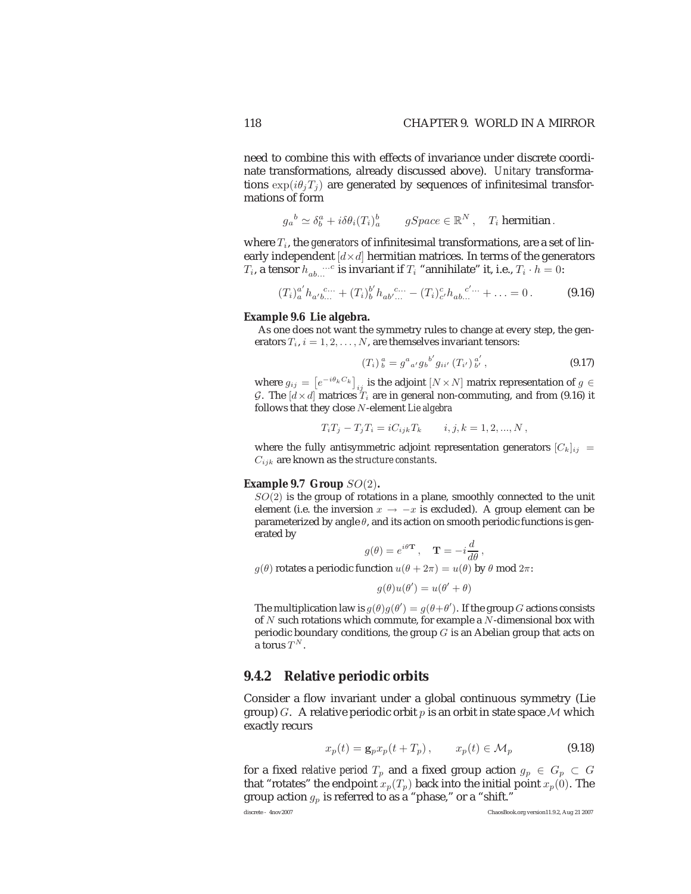need to combine this with effects of invariance under discrete coordinate transformations, already discussed above). *Unitary* transformations  $\exp(i\theta_j T_j)$  are generated by sequences of infinitesimal transformations of form

$$
g_a^b \simeq \delta_b^a + i \delta \theta_i(T_i)_a^b
$$
  $gSpace \in \mathbb{R}^N$ ,  $T_i$  hermitian.

where  $T_i$ , the *generators* of infinitesimal transformations, are a set of linearly independent  $[d \times d]$  hermitian matrices. In terms of the generators  $T_i$ , a tensor  $h_{ab...}$  is invariant if  $T_i$  "annihilate" it, i.e.,  $T_i \cdot h = 0$ :

$$
(T_i)^{a'}_a h_{a'b...}^{c...} + (T_i)^{b'}_b h_{ab'...}^{c...} - (T_i)^{c'}_c h_{ab...}^{c'...} + ... = 0.
$$
 (9.16)

#### **Example 9.6 Lie algebra.**

As one does not want the symmetry rules to change at every step, the generators  $T_i$ ,  $i = 1, 2, \ldots, N$ , are themselves invariant tensors:

$$
(T_i)^a_b = g^a{}_{a'} g_b{}^{b'} g_{ii'} (T_{i'})^a{}_{b'}^a , \qquad (9.17)
$$

where  $g_{ij} = \left[e^{-i\theta_k C_k}\right]_{ij}$  is the adjoint  $[N \times N]$  matrix representation of  $g \in$ <br>C. The  $\left[\frac{d}{d} \times d\right]$  matrices T, are in general non-commuting, and from (0.16) it G. The  $d \times d$  matrices  $T_i$  are in general non-commuting, and from (9.16) it follows that they close N-element *Lie algebra*

$$
T_i T_j - T_j T_i = i C_{ijk} T_k \qquad i, j, k = 1, 2, ..., N,
$$

where the fully antisymmetric adjoint representation generators  $[C_k]_{ij}$  = Cijk are known as the *structure constants*.

#### **Example 9.7 Group** SO(2)**.**

 $SO(2)$  is the group of rotations in a plane, smoothly connected to the unit element (i.e. the inversion  $x \to -x$  is excluded). A group element can be parameterized by angle  $\theta$ , and its action on smooth periodic functions is generated by

$$
g(\theta) = e^{i\theta \mathbf{T}}
$$
,  $\mathbf{T} = -i\frac{d}{d\theta}$ ,

 $g(\theta)$  rotates a periodic function  $u(\theta + 2\pi) = u(\theta)$  by  $\theta$  mod  $2\pi$ :

$$
g(\theta)u(\theta') = u(\theta' + \theta)
$$

The multiplication law is  $g(\theta)g(\theta') = g(\theta + \theta')$ . If the group G actions consists of N such rotations which commute for example a N-dimensional box with of  $N$  such rotations which commute, for example a  $N$ -dimensional box with periodic boundary conditions, the group  $G$  is an Abelian group that acts on a torus  $T^N$ .

### **9.4.2 Relative periodic orbits**

Consider a flow invariant under a global continuous symmetry (Lie group) G. A relative periodic orbit  $p$  is an orbit in state space M which exactly recurs

$$
x_p(t) = \mathbf{g}_p x_p(t + T_p), \qquad x_p(t) \in \mathcal{M}_p \tag{9.18}
$$

for a fixed *relative period*  $T_p$  and a fixed group action  $g_p \in G_p \subset G$ that "rotates" the endpoint  $x_p(T_p)$  back into the initial point  $x_p(0)$ . The group action  $g_p$  is referred to as a "phase," or a "shift."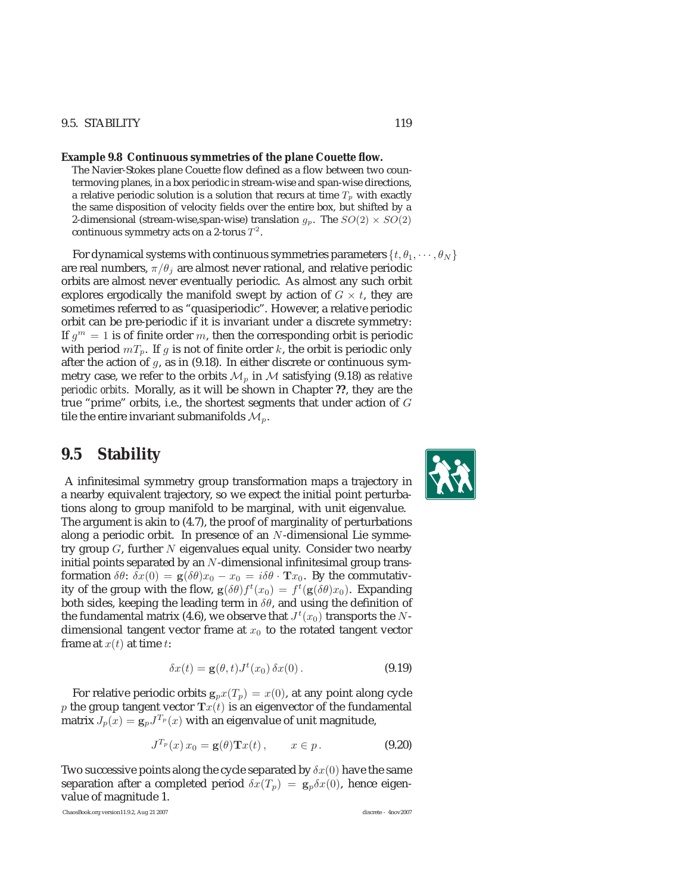### 9.5. STABILITY 119

#### **Example 9.8 Continuous symmetries of the plane Couette flow.**

The Navier-Stokes plane Couette flow defined as a flow between two countermoving planes, in a box periodic in stream-wise and span-wise directions, a relative periodic solution is a solution that recurs at time  $T_p$  with exactly the same disposition of velocity fields over the entire box, but shifted by a 2-dimensional (stream-wise,span-wise) translation  $g_p$ . The  $SO(2) \times SO(2)$ continuous symmetry acts on a 2-torus  $T^2$ .

For dynamical systems with continuous symmetries parameters  $\{t, \theta_1, \dots, \theta_N\}$ are real numbers,  $\pi/\theta_i$  are almost never rational, and relative periodic orbits are almost never eventually periodic. As almost any such orbit explores ergodically the manifold swept by action of  $G \times t$ , they are sometimes referred to as "quasiperiodic". However, a relative periodic orbit can be pre-periodic if it is invariant under a discrete symmetry: If  $g^m = 1$  is of finite order m, then the corresponding orbit is periodic with period  $mT_p$ . If g is not of finite order k, the orbit is periodic only after the action of  $g$ , as in (9.18). In either discrete or continuous symmetry case, we refer to the orbits  $\mathcal{M}_p$  in  $\mathcal M$  satisfying (9.18) as *relative periodic orbits*. Morally, as it will be shown in Chapter **??**, they are the true "prime" orbits, i.e., the shortest segments that under action of G tile the entire invariant submanifolds  $\mathcal{M}_n$ .

### **9.5 Stability**

A infinitesimal symmetry group transformation maps a trajectory in a nearby equivalent trajectory, so we expect the initial point perturbations along to group manifold to be marginal, with unit eigenvalue. The argument is akin to (4.7), the proof of marginality of perturbations along a periodic orbit. In presence of an N-dimensional Lie symmetry group  $G$ , further  $N$  eigenvalues equal unity. Consider two nearby initial points separated by an  $N$ -dimensional infinitesimal group transformation  $\delta\theta$ :  $\delta x(0) = \mathbf{g}(\delta\theta)x_0 - x_0 = i\delta\theta \cdot \mathbf{T}x_0$ . By the commutativity of the group with the flow,  $g(\delta\theta) f^t(x_0) = f^t(g(\delta\theta)x_0)$ . Expanding<br>both sides, keeping the leading term in  $\delta\theta$ , and using the definition of both sides, keeping the leading term in  $\delta\theta$ , and using the definition of the fundamental matrix (4.6), we observe that  $J^t(x_0)$  transports the  $N$ dimensional tangent vector frame at  $x_0$  to the rotated tangent vector frame at  $x(t)$  at time t:

$$
\delta x(t) = \mathbf{g}(\theta, t) J^t(x_0) \, \delta x(0) \,. \tag{9.19}
$$

For relative periodic orbits  $\mathbf{g}_p x(T_p) = x(0)$ , at any point along cycle p the group tangent vector  $\text{Tr}(t)$  is an eigenvector of the fundamental matrix  $J_p(x) = g_p J^{T_p}(x)$  with an eigenvalue of unit magnitude,

$$
J^{T_p}(x) x_0 = \mathbf{g}(\theta) \mathbf{T} x(t), \qquad x \in p. \tag{9.20}
$$

Two successive points along the cycle separated by  $\delta x(0)$  have the same separation after a completed period  $\delta x(T_p) = g_p \delta x(0)$ , hence eigenvalue of magnitude 1.

ChaosBook.org version11.9.2, Aug 21 2007 discrete - 4nov2007

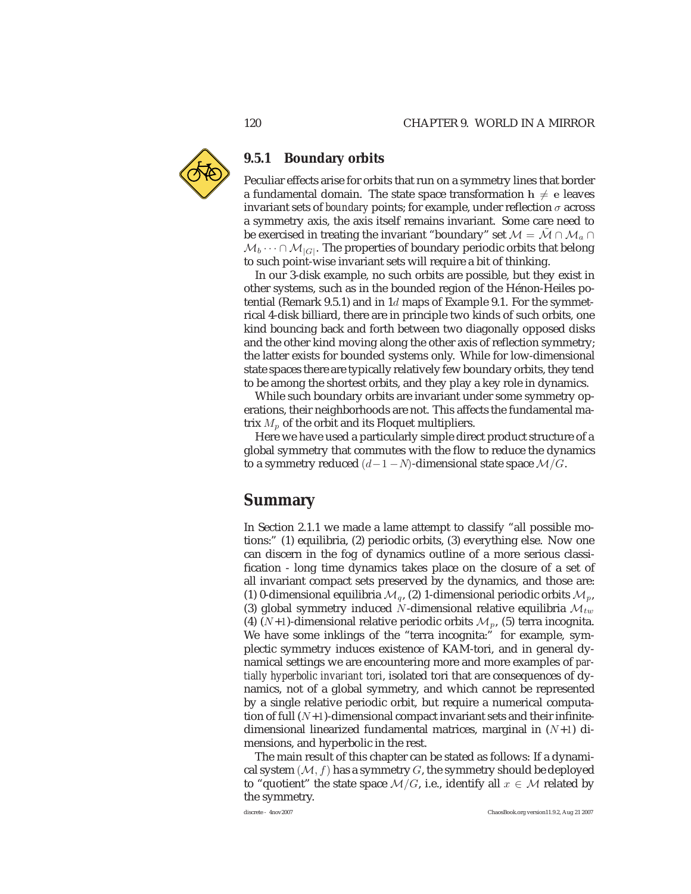

### **9.5.1 Boundary orbits**

Peculiar effects arise for orbits that run on a symmetry lines that border a fundamental domain. The state space transformation  $h \neq e$  leaves invariant sets of *boundary* points; for example, under reflection  $\sigma$  across a symmetry axis, the axis itself remains invariant. Some care need to be exercised in treating the invariant "boundary" set  $\mathcal{M} = \tilde{\mathcal{M}} \cap \mathcal{M}_a \cap \mathcal{M}_a$  $M_b \cdots \cap M_{|G|}$ . The properties of boundary periodic orbits that belong to such point-wise invariant sets will require a bit of thinking.

In our 3-disk example, no such orbits are possible, but they exist in other systems, such as in the bounded region of the Hénon-Heiles potential (Remark 9.5.1) and in  $1d$  maps of Example 9.1. For the symmetrical 4-disk billiard, there are in principle two kinds of such orbits, one kind bouncing back and forth between two diagonally opposed disks and the other kind moving along the other axis of reflection symmetry; the latter exists for bounded systems only. While for low-dimensional state spaces there are typically relatively few boundary orbits, they tend to be among the shortest orbits, and they play a key role in dynamics.

While such boundary orbits are invariant under some symmetry operations, their neighborhoods are not. This affects the fundamental matrix  $M_p$  of the orbit and its Floquet multipliers.

Here we have used a particularly simple direct product structure of a global symmetry that commutes with the flow to reduce the dynamics to a symmetry reduced  $(d-1-N)$ -dimensional state space  $\mathcal{M}/G$ .

# **Summary**

In Section 2.1.1 we made a lame attempt to classify "all possible motions:" (1) equilibria, (2) periodic orbits, (3) everything else. Now one can discern in the fog of dynamics outline of a more serious classification - long time dynamics takes place on the closure of a set of all invariant compact sets preserved by the dynamics, and those are: (1) 0-dimensional equilibria  $\mathcal{M}_q$ , (2) 1-dimensional periodic orbits  $\mathcal{M}_p$ , (3) global symmetry induced N-dimensional relative equilibria  $\mathcal{M}_{tw}$ (4)  $(N+1)$ -dimensional relative periodic orbits  $\mathcal{M}_p$ , (5) terra incognita. We have some inklings of the "terra incognita:" for example, symplectic symmetry induces existence of KAM-tori, and in general dynamical settings we are encountering more and more examples of *partially hyperbolic invariant tori*, isolated tori that are consequences of dynamics, not of a global symmetry, and which cannot be represented by a single relative periodic orbit, but require a numerical computation of full  $(N+1)$ -dimensional compact invariant sets and their infinitedimensional linearized fundamental matrices, marginal in  $(N+1)$  dimensions, and hyperbolic in the rest.

The main result of this chapter can be stated as follows: If a dynamical system  $(M, f)$  has a symmetry G, the symmetry should be deployed to "quotient" the state space  $\mathcal{M}/G$ , i.e., identify all  $x \in \mathcal{M}$  related by the symmetry.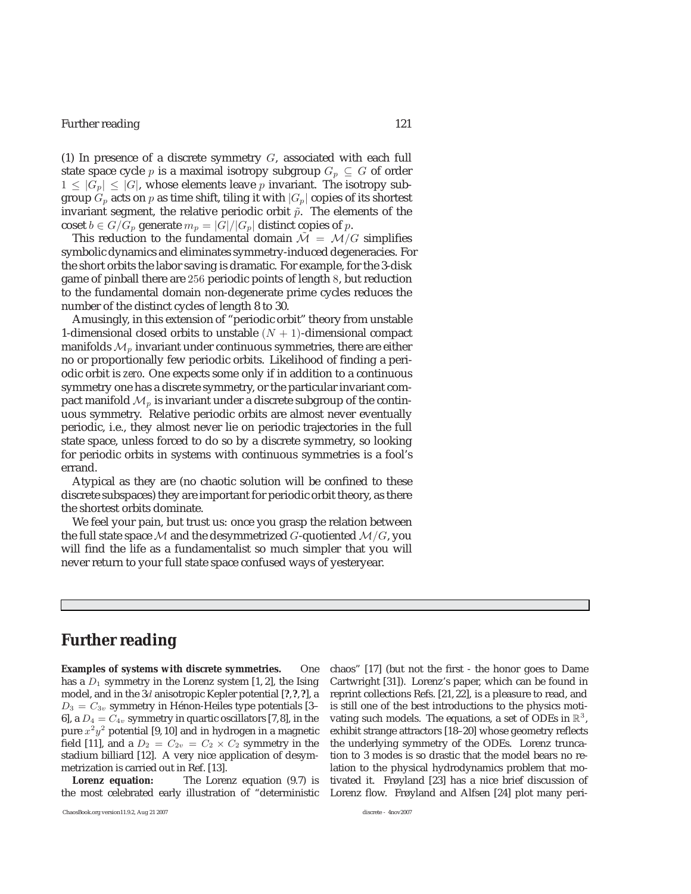### Further reading 121

(1) In presence of a discrete symmetry  $G$ , associated with each full state space cycle p is a maximal isotropy subgroup  $G_p \subseteq G$  of order  $1 \leq |G_p| \leq |G|$ , whose elements leave p invariant. The isotropy subgroup  $G_p$  acts on  $p$  as time shift, tiling it with  $\vert G_p \vert$  copies of its shortest invariant segment, the relative periodic orbit  $\tilde{p}$ . The elements of the coset  $b \in G/G_p$  generate  $m_p = |G|/|G_p|$  distinct copies of p.

This reduction to the fundamental domain  $\mathcal{M} = \mathcal{M}/G$  simplifies symbolic dynamics and eliminates symmetry-induced degeneracies. For the short orbits the labor saving is dramatic. For example, for the 3-disk game of pinball there are 256 periodic points of length 8, but reduction to the fundamental domain non-degenerate prime cycles reduces the number of the distinct cycles of length 8 to 30.

Amusingly, in this extension of "periodic orbit" theory from unstable 1-dimensional closed orbits to unstable  $(N + 1)$ -dimensional compact manifolds  $\mathcal{M}_p$  invariant under continuous symmetries, there are either no or proportionally few periodic orbits. Likelihood of finding a periodic orbit is *zero*. One expects some only if in addition to a continuous symmetry one has a discrete symmetry, or the particular invariant compact manifold  $\mathcal{M}_p$  is invariant under a discrete subgroup of the continuous symmetry. Relative periodic orbits are almost never eventually periodic, i.e., they almost never lie on periodic trajectories in the full state space, unless forced to do so by a discrete symmetry, so looking for periodic orbits in systems with continuous symmetries is a fool's errand.

Atypical as they are (no chaotic solution will be confined to these discrete subspaces) they are important for periodic orbit theory, as there the shortest orbits dominate.

We feel your pain, but trust us: once you grasp the relation between the full state space M and the desymmetrized G-quotiented  $\mathcal{M}/G$ , you will find the life as a fundamentalist so much simpler that you will never return to your full state space confused ways of yesteryear.

# **Further reading**

**Examples of systems with discrete symmetries.** One has a  $D_1$  symmetry in the Lorenz system [1, 2], the Ising model, and in the 3d anisotropic Kepler potential [**?**,**?**,**?**], a  $D_3 = C_{3v}$  symmetry in Hénon-Heiles type potentials [3– 6], a  $D_4 = C_{4v}$  symmetry in quartic oscillators [7,8], in the pure  $x^2y^2$  potential [9, 10] and in hydrogen in a magnetic field [11], and a  $D_2 = C_{2v} = C_2 \times C_2$  symmetry in the stadium billiard [12]. A very nice application of desymmetrization is carried out in Ref. [13].

**Lorenz equation:** The Lorenz equation (9.7) is the most celebrated early illustration of "deterministic chaos" [17] (but not the first - the honor goes to Dame Cartwright [31]). Lorenz's paper, which can be found in reprint collections Refs. [21, 22], is a pleasure to read, and is still one of the best introductions to the physics motivating such models. The equations, a set of ODEs in  $\mathbb{R}^3$ , exhibit strange attractors [18–20] whose geometry reflects the underlying symmetry of the ODEs. Lorenz truncation to 3 modes is so drastic that the model bears no relation to the physical hydrodynamics problem that motivated it. Frøyland [23] has a nice brief discussion of Lorenz flow. Frøyland and Alfsen [24] plot many peri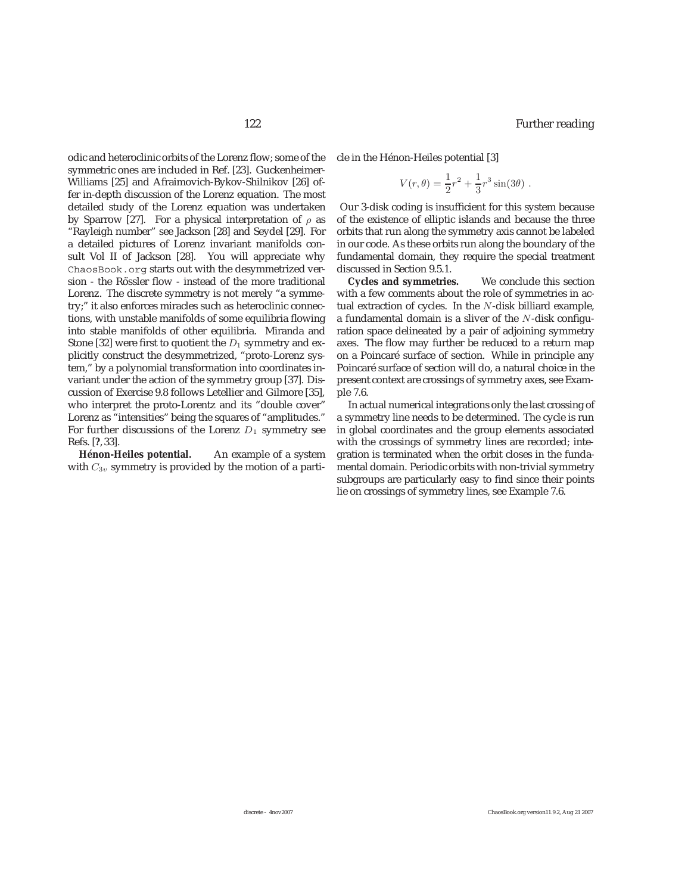odic and heteroclinic orbits of the Lorenz flow; some of the symmetric ones are included in Ref. [23]. Guckenheimer-Williams [25] and Afraimovich-Bykov-Shilnikov [26] offer in-depth discussion of the Lorenz equation. The most detailed study of the Lorenz equation was undertaken by Sparrow [27]. For a physical interpretation of  $\rho$  as "Rayleigh number" see Jackson [28] and Seydel [29]. For a detailed pictures of Lorenz invariant manifolds consult Vol II of Jackson [28]. You will appreciate why ChaosBook.org starts out with the desymmetrized version - the Rössler flow - instead of the more traditional Lorenz. The discrete symmetry is not merely "a symmetry;" it also enforces miracles such as heteroclinic connections, with unstable manifolds of some equilibria flowing into stable manifolds of other equilibria. Miranda and Stone [32] were first to quotient the  $D_1$  symmetry and explicitly construct the desymmetrized, "proto-Lorenz system," by a polynomial transformation into coordinates invariant under the action of the symmetry group [37]. Discussion of Exercise 9.8 follows Letellier and Gilmore [35], who interpret the proto-Lorentz and its "double cover" Lorenz as "intensities" being the squares of "amplitudes." For further discussions of the Lorenz  $D_1$  symmetry see Refs. [**?**, 33].

Hénon-Heiles potential. An example of a system with  $C_{3v}$  symmetry is provided by the motion of a particle in the Hénon-Heiles potential [3]

$$
V(r,\theta) = \frac{1}{2}r^2 + \frac{1}{3}r^3\sin(3\theta) .
$$

Our 3-disk coding is insufficient for this system because of the existence of elliptic islands and because the three orbits that run along the symmetry axis cannot be labeled in our code. As these orbits run along the boundary of the fundamental domain, they require the special treatment discussed in Section 9.5.1.

**Cycles and symmetries.** We conclude this section with a few comments about the role of symmetries in actual extraction of cycles. In the N-disk billiard example, a fundamental domain is a sliver of the N-disk configuration space delineated by a pair of adjoining symmetry axes. The flow may further be reduced to a return map on a Poincaré surface of section. While in principle any Poincaré surface of section will do, a natural choice in the present context are crossings of symmetry axes, see Example 7.6.

In actual numerical integrations only the last crossing of a symmetry line needs to be determined. The cycle is run in global coordinates and the group elements associated with the crossings of symmetry lines are recorded; integration is terminated when the orbit closes in the fundamental domain. Periodic orbits with non-trivial symmetry subgroups are particularly easy to find since their points lie on crossings of symmetry lines, see Example 7.6.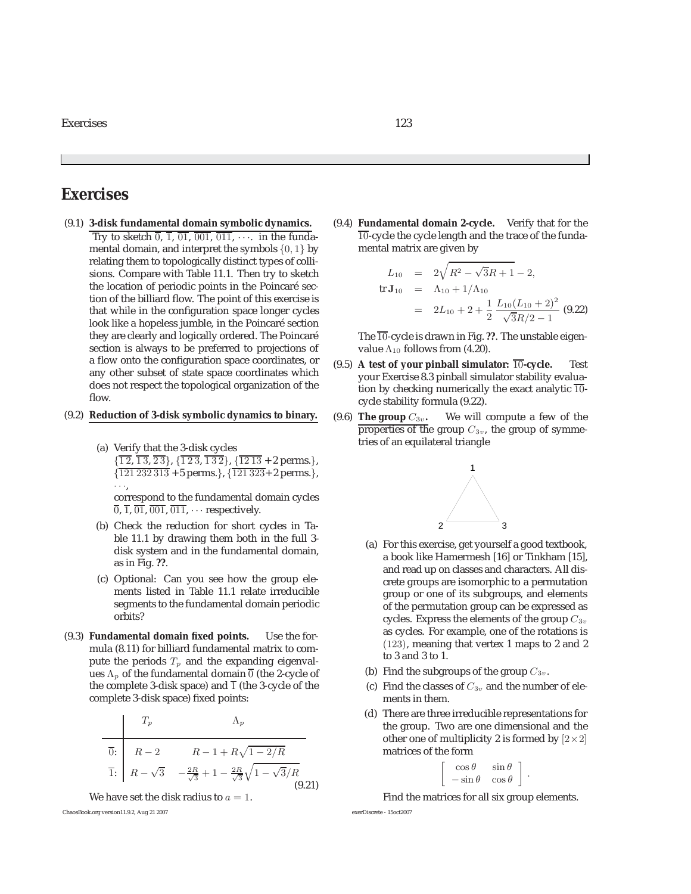## **Exercises**

- (9.1) **3-disk fundamental domain symbolic dynamics.** Try to sketch  $\overline{0}$ ,  $\overline{1}$ ,  $\overline{01}$ ,  $\overline{001}$ ,  $\overline{011}$ ,  $\cdots$  in the fundamental domain, and interpret the symbols  $\{0, 1\}$  by relating them to topologically distinct types of collisions. Compare with Table 11.1. Then try to sketch the location of periodic points in the Poincaré section of the billiard flow. The point of this exercise is that while in the configuration space longer cycles look like a hopeless jumble, in the Poincaré section they are clearly and logically ordered. The Poincaré section is always to be preferred to projections of a flow onto the configuration space coordinates, or any other subset of state space coordinates which does not respect the topological organization of the flow.
- (9.2) **Reduction of 3-disk symbolic dynamics to binary.**
	- (a) Verify that the 3-disk cycles  $\{\overline{12}, \overline{13}, \overline{23}\}, \{\overline{123}, \overline{132}\}, \{\overline{1213} \pm 2 \text{ perms.}\},\$  $\{121\,232\,313 + 5$  perms.},  $\{\overline{121\,323} + 2$  perms.}, ···,

correspond to the fundamental domain cycles  $\overline{0}$ ,  $\overline{1}$ ,  $\overline{01}$ ,  $\overline{001}$ ,  $\overline{011}$ ,  $\cdots$  respectively.

- (b) Check the reduction for short cycles in Table 11.1 by drawing them both in the full 3 disk system and in the fundamental domain, as in Fig. **??**.
- (c) Optional: Can you see how the group elements listed in Table 11.1 relate irreducible segments to the fundamental domain periodic orbits?
- (9.3) **Fundamental domain fixed points.** Use the formula (8.11) for billiard fundamental matrix to compute the periods  $T_p$  and the expanding eigenvalues  $\Lambda_p$  of the fundamental domain  $\overline{0}$  (the 2-cycle of the complete 3-disk space) and  $\overline{1}$  (the 3-cycle of the complete 3-disk space) fixed points:

$$
\begin{array}{c|c}\n & T_p & \Lambda_p \\
\hline\n\overline{0:} & R-2 & R-1 + R\sqrt{1-2/R} \\
\overline{1:} & R-\sqrt{3} & -\frac{2R}{\sqrt{3}}+1-\frac{2R}{\sqrt{3}}\sqrt{1-\sqrt{3}/R} \\
\hline\n & (9.21)\n\end{array}
$$

We have set the disk radius to  $a = 1$ .

ChaosBook.org version11.9.2, Aug 21 2007 exerDiscrete - 15oct2007

(9.4) **Fundamental domain 2-cycle.** Verify that for the  $10$ -cycle the cycle length and the trace of the fundamental matrix are given by

$$
L_{10} = 2\sqrt{R^2 - \sqrt{3}R + 1} - 2,
$$
  
tr  $\mathbf{J}_{10} = \Lambda_{10} + 1/\Lambda_{10}$   

$$
= 2L_{10} + 2 + \frac{1}{2} \frac{L_{10}(L_{10} + 2)^2}{\sqrt{3}R/2 - 1}
$$
(9.22)

The 10-cycle is drawn in Fig. **??**. The unstable eigenvalue  $\Lambda_{10}$  follows from (4.20).

- (9.5) **A test of your pinball simulator:** <sup>10</sup>**-cycle.** Test your Exercise 8.3 pinball simulator stability evaluation by checking numerically the exact analytic  $\overline{10}$ cycle stability formula (9.22).
- (9.6) **The group**  $C_{3v}$ . We will compute a few of the properties of the group  $C_{3v}$ , the group of symmetries of an equilateral triangle



- (a) For this exercise, get yourself a good textbook, a book like Hamermesh [16] or Tinkham [15], and read up on classes and characters. All discrete groups are isomorphic to a permutation group or one of its subgroups, and elements of the permutation group can be expressed as cycles. Express the elements of the group  $C_{3v}$ as cycles. For example, one of the rotations is (123), meaning that vertex 1 maps to 2 and 2 to 3 and 3 to 1.
- (b) Find the subgroups of the group  $C_{3v}$ .
- (c) Find the classes of  $C_{3v}$  and the number of elements in them.
- (d) There are three irreducible representations for the group. Two are one dimensional and the other one of multiplicity 2 is formed by  $[2 \times 2]$ matrices of the form

$$
\left[\begin{array}{cc} \cos\theta & \sin\theta \\ -\sin\theta & \cos\theta \end{array}\right]
$$

.

Find the matrices for all six group elements.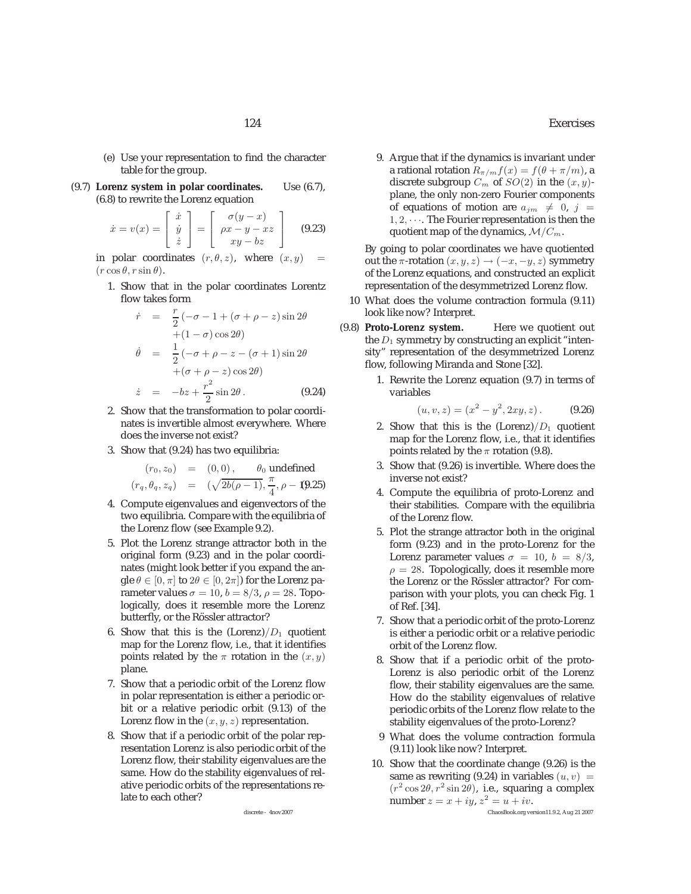- (e) Use your representation to find the character table for the group.
- (9.7) **Lorenz system in polar coordinates.** Use (6.7), (6.8) to rewrite the Lorenz equation

$$
\dot{x} = v(x) = \begin{bmatrix} \dot{x} \\ \dot{y} \\ \dot{z} \end{bmatrix} = \begin{bmatrix} \sigma(y-x) \\ \rho x - y - xz \\ xy - bz \end{bmatrix}
$$
(9.23)

in polar coordinates  $(r, \theta, z)$ , where  $(x, y)$  =  $(r \cos \theta, r \sin \theta).$ 

1. Show that in the polar coordinates Lorentz flow takes form

$$
\dot{r} = \frac{r}{2}(-\sigma - 1 + (\sigma + \rho - z)\sin 2\theta
$$

$$
+ (1 - \sigma)\cos 2\theta)
$$

$$
\dot{\theta} = \frac{1}{2}(-\sigma + \rho - z - (\sigma + 1)\sin 2\theta
$$

$$
+ (\sigma + \rho - z)\cos 2\theta)
$$

$$
\dot{z} = -bz + \frac{r^2}{2}\sin 2\theta.
$$
(9.24)

- 2 2. Show that the transformation to polar coordinates is invertible almost everywhere. Where does the inverse not exist?
- 3. Show that (9.24) has two equilibria:

$$
(r_0, z_0) = (0, 0), \quad \theta_0
$$
 undefined  
\n $(r_q, \theta_q, z_q) = (\sqrt{2b(\rho - 1)}, \frac{\pi}{4}, \rho - 1.025)$ 

- $(r_q, \theta_q, z_q)$  =  $(\sqrt{2b(\rho 1)}, \frac{\pi}{4}, \rho 1)$ . 4. Compute eigenvalues and eigenvectors of the two equilibria. Compare with the equilibria of the Lorenz flow (see Example 9.2).
- 5. Plot the Lorenz strange attractor both in the original form (9.23) and in the polar coordinates (might look better if you expand the angle  $\theta \in [0, \pi]$  to  $2\theta \in [0, 2\pi]$  for the Lorenz parameter values  $\sigma = 10$ ,  $b = 8/3$ ,  $\rho = 28$ . Topologically, does it resemble more the Lorenz butterfly, or the Rössler attractor?
- 6. Show that this is the  $(Lorenz)/D_1$  quotient map for the Lorenz flow, i.e., that it identifies points related by the  $\pi$  rotation in the  $(x, y)$ plane.
- 7. Show that a periodic orbit of the Lorenz flow in polar representation is either a periodic orbit or a relative periodic orbit (9.13) of the Lorenz flow in the  $(x, y, z)$  representation.
- 8. Show that if a periodic orbit of the polar representation Lorenz is also periodic orbit of the Lorenz flow, their stability eigenvalues are the same. How do the stability eigenvalues of relative periodic orbits of the representations relate to each other?

9. Argue that if the dynamics is invariant under a rational rotation  $R_{\pi/m}f(x) = f(\theta + \pi/m)$ , a discrete subgroup  $C_m$  of  $SO(2)$  in the  $(x, y)$ plane, the only non-zero Fourier components of equations of motion are  $a_{jm} \neq 0, j =$  $1, 2, \cdots$ . The Fourier representation is then the quotient map of the dynamics,  $\mathcal{M}/C_m$ .

By going to polar coordinates we have quotiented out the  $\pi$ -rotation  $(x, y, z) \rightarrow (-x, -y, z)$  symmetry of the Lorenz equations, and constructed an explicit representation of the desymmetrized Lorenz flow.

- 10 What does the volume contraction formula (9.11) look like now? Interpret.
- (9.8) **Proto-Lorenz system.** Here we quotient out the  $D_1$  symmetry by constructing an explicit "intensity" representation of the desymmetrized Lorenz flow, following Miranda and Stone [32].
	- 1. Rewrite the Lorenz equation (9.7) in terms of variables

$$
(u, v, z) = (x2 - y2, 2xy, z).
$$
 (9.26)

- 2. Show that this is the  $(Lorenz)/D_1$  quotient map for the Lorenz flow, i.e., that it identifies points related by the  $\pi$  rotation (9.8).
- 3. Show that (9.26) is invertible. Where does the inverse not exist?
- 4. Compute the equilibria of proto-Lorenz and their stabilities. Compare with the equilibria of the Lorenz flow.
- 5. Plot the strange attractor both in the original form (9.23) and in the proto-Lorenz for the Lorenz parameter values  $\sigma = 10$ ,  $b = 8/3$ ,  $\rho = 28$ . Topologically, does it resemble more the Lorenz or the Rössler attractor? For comparison with your plots, you can check Fig. 1 of Ref. [34].
- 7. Show that a periodic orbit of the proto-Lorenz is either a periodic orbit or a relative periodic orbit of the Lorenz flow.
- 8. Show that if a periodic orbit of the proto-Lorenz is also periodic orbit of the Lorenz flow, their stability eigenvalues are the same. How do the stability eigenvalues of relative periodic orbits of the Lorenz flow relate to the stability eigenvalues of the proto-Lorenz?
- 9 What does the volume contraction formula (9.11) look like now? Interpret.
- 10. Show that the coordinate change (9.26) is the same as rewriting (9.24) in variables  $(u, v)$  =  $(r^2 \cos 2\theta, r^2 \sin 2\theta)$ , i.e., squaring a complex number  $z = x + iy, z^2 = u + iv$ . discrete - 4nov2007 ChaosBook.org version11.9.2, Aug 21 2007

124 Exercises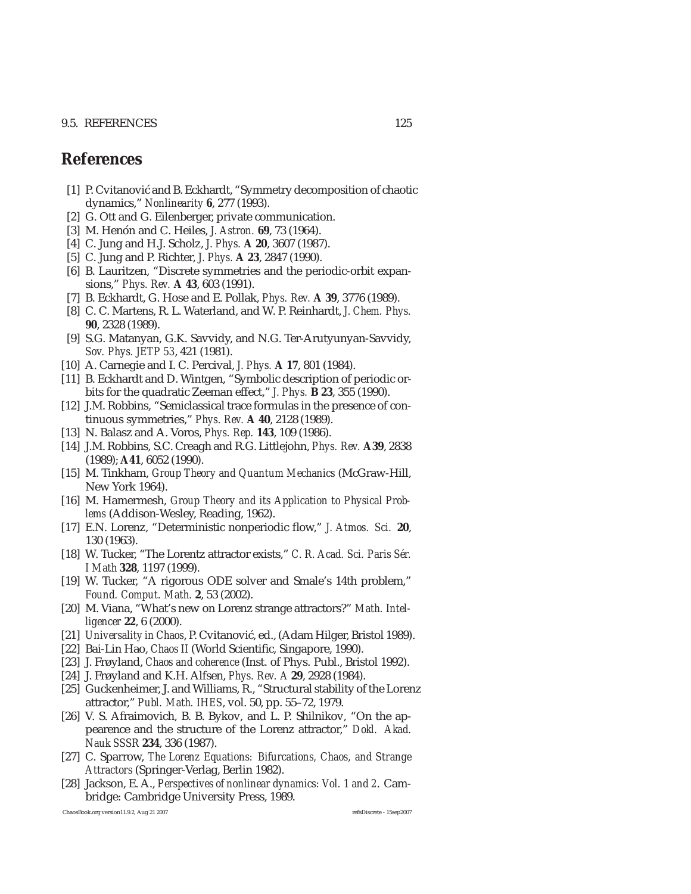### 9.5. REFERENCES 125

# **References**

- [1] P. Cvitanović and B. Eckhardt, "Symmetry decomposition of chaotic dynamics," *Nonlinearity* **6**, 277 (1993).
- [2] G. Ott and G. Eilenberger, private communication.
- [3] M. Henón and C. Heiles, *J. Astron.* **69**, 73 (1964).
- [4] C. Jung and H.J. Scholz, *J. Phys.* **A 20**, 3607 (1987).
- [5] C. Jung and P. Richter, *J. Phys.* **A 23**, 2847 (1990).
- [6] B. Lauritzen, "Discrete symmetries and the periodic-orbit expansions," *Phys. Rev.* **A 43**, 603 (1991).
- [7] B. Eckhardt, G. Hose and E. Pollak, *Phys. Rev.* **A 39**, 3776 (1989).
- [8] C. C. Martens, R. L. Waterland, and W. P. Reinhardt, *J. Chem. Phys.* **90**, 2328 (1989).
- [9] S.G. Matanyan, G.K. Savvidy, and N.G. Ter-Arutyunyan-Savvidy, *Sov. Phys. JETP 53*, 421 (1981).
- [10] A. Carnegie and I. C. Percival, *J. Phys.* **A 17**, 801 (1984).
- [11] B. Eckhardt and D. Wintgen, "Symbolic description of periodic orbits for the quadratic Zeeman effect," *J. Phys.* **B 23**, 355 (1990).
- [12] J.M. Robbins, "Semiclassical trace formulas in the presence of continuous symmetries," *Phys. Rev.* **A 40**, 2128 (1989).
- [13] N. Balasz and A. Voros, *Phys. Rep.* **143**, 109 (1986).
- [14] J.M. Robbins, S.C. Creagh and R.G. Littlejohn, *Phys. Rev.* **A39**, 2838 (1989); **A41**, 6052 (1990).
- [15] M. Tinkham, *Group Theory and Quantum Mechanics* (McGraw-Hill, New York 1964).
- [16] M. Hamermesh, *Group Theory and its Application to Physical Problems* (Addison-Wesley, Reading, 1962).
- [17] E.N. Lorenz, "Deterministic nonperiodic flow," *J. Atmos. Sci.* **20**, 130 (1963).
- [18] W. Tucker, "The Lorentz attractor exists," C. R. Acad. Sci. Paris Sér. *I Math* **328**, 1197 (1999).
- [19] W. Tucker, "A rigorous ODE solver and Smale's 14th problem," *Found. Comput. Math.* **2**, 53 (2002).
- [20] M. Viana, "What's new on Lorenz strange attractors?" *Math. Intelligencer* **22**, 6 (2000).
- [21] *Universality in Chaos*, P. Cvitanović, ed., (Adam Hilger, Bristol 1989).
- [22] Bai-Lin Hao, *Chaos II* (World Scientific, Singapore, 1990).
- [23] J. Frøyland, *Chaos and coherence* (Inst. of Phys. Publ., Bristol 1992).
- [24] J. Frøyland and K.H. Alfsen, *Phys. Rev. A* **29**, 2928 (1984).
- [25] Guckenheimer, J. and Williams, R., "Structural stability of the Lorenz attractor," *Publ. Math. IHES*, vol. 50, pp. 55–72, 1979.
- [26] V. S. Afraimovich, B. B. Bykov, and L. P. Shilnikov, "On the appearence and the structure of the Lorenz attractor," *Dokl. Akad. Nauk SSSR* **234**, 336 (1987).
- [27] C. Sparrow, *The Lorenz Equations: Bifurcations, Chaos, and Strange Attractors* (Springer-Verlag, Berlin 1982).
- [28] Jackson, E. A., *Perspectives of nonlinear dynamics: Vol. 1 and 2*. Cambridge: Cambridge University Press, 1989.

ChaosBook.org version11.9.2, Aug 21 2007 refsDiscrete - 15sep2007